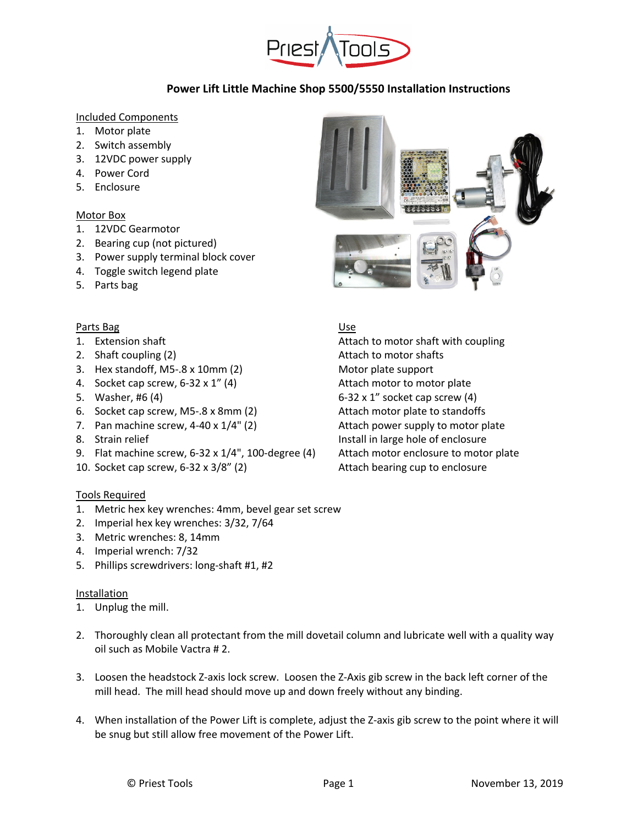

### Included Components

- 1. Motor plate
- 2. Switch assembly
- 3. 12VDC power supply
- 4. Power Cord
- 5. Enclosure

## Motor Box

- 1. 12VDC Gearmotor
- 2. Bearing cup (not pictured)
- 3. Power supply terminal block cover
- 4. Toggle switch legend plate
- 5. Parts bag

### Parts Bag Use

- 
- 
- 3. Hex standoff, M5-.8 x 10mm (2) Motor plate support
- 4. Socket cap screw, 6-32 x 1" (4) Attach motor to motor plate
- 
- 6. Socket cap screw, M5-.8 x 8mm (2) Attach motor plate to standoffs
- 7. Pan machine screw,  $4-40 \times 1/4$ " (2) Attach power supply to motor plate
- 
- 9. Flat machine screw, 6-32 x 1/4", 100-degree (4) Attach motor enclosure to motor plate
- 10. Socket cap screw, 6-32 x 3/8" (2) Attach bearing cup to enclosure

## Tools Required

- 1. Metric hex key wrenches: 4mm, bevel gear set screw
- 2. Imperial hex key wrenches: 3/32, 7/64
- 3. Metric wrenches: 8, 14mm
- 4. Imperial wrench: 7/32
- 5. Phillips screwdrivers: long-shaft #1, #2

#### Installation

- 1. Unplug the mill.
- 2. Thoroughly clean all protectant from the mill dovetail column and lubricate well with a quality way oil such as Mobile Vactra # 2.
- 3. Loosen the headstock Z-axis lock screw. Loosen the Z-Axis gib screw in the back left corner of the mill head. The mill head should move up and down freely without any binding.
- 4. When installation of the Power Lift is complete, adjust the Z-axis gib screw to the point where it will be snug but still allow free movement of the Power Lift.



1. Extension shaft **Attach to motor shaft with coupling** 2. Shaft coupling (2) and the motor shafts are shafted at the motor shafts and the motor shafts are shafts and  $\lambda$ 5. Washer, #6 (4) 6-32 x 1" socket cap screw (4) 8. Strain relief Install in large hole of enclosure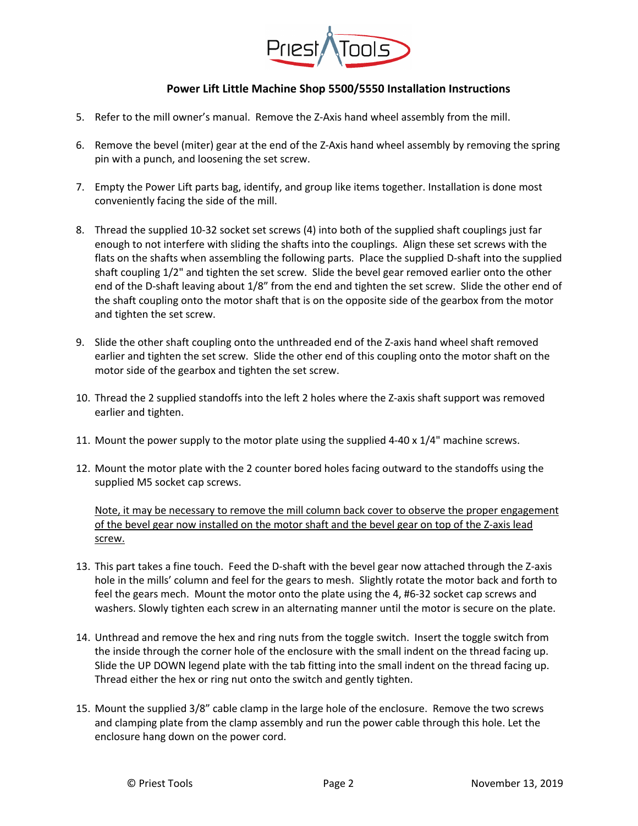

- 5. Refer to the mill owner's manual. Remove the Z-Axis hand wheel assembly from the mill.
- 6. Remove the bevel (miter) gear at the end of the Z-Axis hand wheel assembly by removing the spring pin with a punch, and loosening the set screw.
- 7. Empty the Power Lift parts bag, identify, and group like items together. Installation is done most conveniently facing the side of the mill.
- 8. Thread the supplied 10-32 socket set screws (4) into both of the supplied shaft couplings just far enough to not interfere with sliding the shafts into the couplings. Align these set screws with the flats on the shafts when assembling the following parts. Place the supplied D-shaft into the supplied shaft coupling 1/2" and tighten the set screw. Slide the bevel gear removed earlier onto the other end of the D-shaft leaving about 1/8" from the end and tighten the set screw. Slide the other end of the shaft coupling onto the motor shaft that is on the opposite side of the gearbox from the motor and tighten the set screw.
- 9. Slide the other shaft coupling onto the unthreaded end of the Z-axis hand wheel shaft removed earlier and tighten the set screw. Slide the other end of this coupling onto the motor shaft on the motor side of the gearbox and tighten the set screw.
- 10. Thread the 2 supplied standoffs into the left 2 holes where the Z-axis shaft support was removed earlier and tighten.
- 11. Mount the power supply to the motor plate using the supplied 4-40 x 1/4" machine screws.
- 12. Mount the motor plate with the 2 counter bored holes facing outward to the standoffs using the supplied M5 socket cap screws.

Note, it may be necessary to remove the mill column back cover to observe the proper engagement of the bevel gear now installed on the motor shaft and the bevel gear on top of the Z-axis lead screw.

- 13. This part takes a fine touch. Feed the D-shaft with the bevel gear now attached through the Z-axis hole in the mills' column and feel for the gears to mesh. Slightly rotate the motor back and forth to feel the gears mech. Mount the motor onto the plate using the 4, #6-32 socket cap screws and washers. Slowly tighten each screw in an alternating manner until the motor is secure on the plate.
- 14. Unthread and remove the hex and ring nuts from the toggle switch. Insert the toggle switch from the inside through the corner hole of the enclosure with the small indent on the thread facing up. Slide the UP DOWN legend plate with the tab fitting into the small indent on the thread facing up. Thread either the hex or ring nut onto the switch and gently tighten.
- 15. Mount the supplied 3/8" cable clamp in the large hole of the enclosure. Remove the two screws and clamping plate from the clamp assembly and run the power cable through this hole. Let the enclosure hang down on the power cord.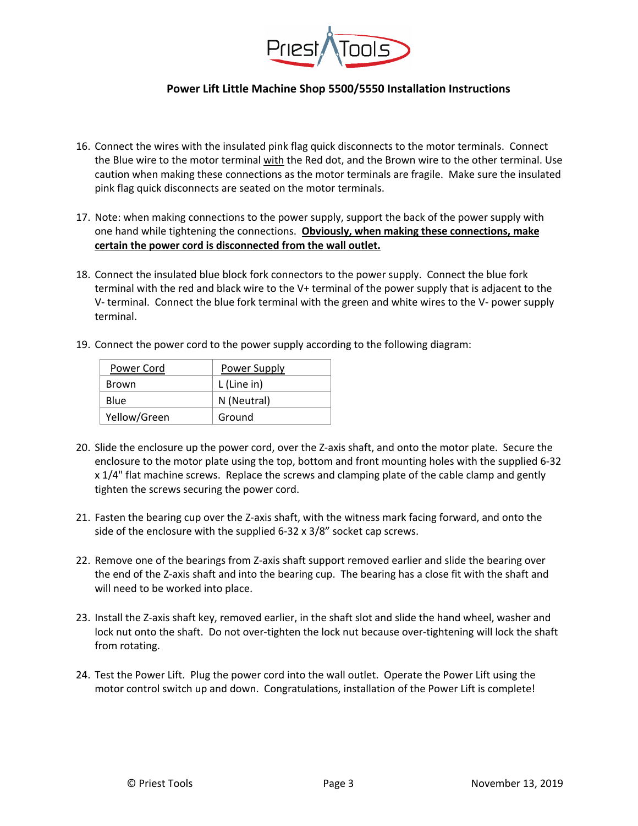

- 16. Connect the wires with the insulated pink flag quick disconnects to the motor terminals. Connect the Blue wire to the motor terminal with the Red dot, and the Brown wire to the other terminal. Use caution when making these connections as the motor terminals are fragile. Make sure the insulated pink flag quick disconnects are seated on the motor terminals.
- 17. Note: when making connections to the power supply, support the back of the power supply with one hand while tightening the connections. **Obviously, when making these connections, make certain the power cord is disconnected from the wall outlet.**
- 18. Connect the insulated blue block fork connectors to the power supply. Connect the blue fork terminal with the red and black wire to the V+ terminal of the power supply that is adjacent to the V- terminal. Connect the blue fork terminal with the green and white wires to the V- power supply terminal.
- 19. Connect the power cord to the power supply according to the following diagram:

| Power Cord   | Power Supply |
|--------------|--------------|
| Brown        | L (Line in)  |
| Blue         | N (Neutral)  |
| Yellow/Green | Ground       |

- 20. Slide the enclosure up the power cord, over the Z-axis shaft, and onto the motor plate. Secure the enclosure to the motor plate using the top, bottom and front mounting holes with the supplied 6-32 x 1/4" flat machine screws. Replace the screws and clamping plate of the cable clamp and gently tighten the screws securing the power cord.
- 21. Fasten the bearing cup over the Z-axis shaft, with the witness mark facing forward, and onto the side of the enclosure with the supplied 6-32 x 3/8" socket cap screws.
- 22. Remove one of the bearings from Z-axis shaft support removed earlier and slide the bearing over the end of the Z-axis shaft and into the bearing cup. The bearing has a close fit with the shaft and will need to be worked into place.
- 23. Install the Z-axis shaft key, removed earlier, in the shaft slot and slide the hand wheel, washer and lock nut onto the shaft. Do not over-tighten the lock nut because over-tightening will lock the shaft from rotating.
- 24. Test the Power Lift. Plug the power cord into the wall outlet. Operate the Power Lift using the motor control switch up and down. Congratulations, installation of the Power Lift is complete!